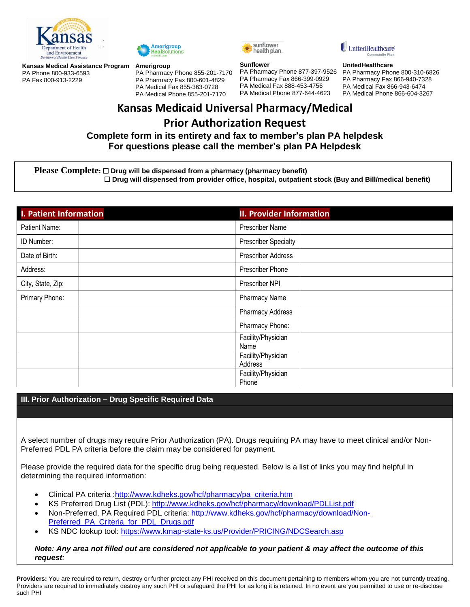

PA Phone 800-933-6593 PA Fax 800-913-2229



### **Kansas Medical Assistance Program Amerigroup**

PA Pharmacy Phone 855-201-7170 PA Pharmacy Fax 800-601-4829 PA Medical Fax 855-363-0728 PA Medical Phone 855-201-7170



#### **Sunflower**

PA Pharmacy Phone 877-397-9526 PA Pharmacy Fax 866-399-0929 PA Medical Fax 888-453-4756 PA Medical Phone 877-644-4623

UnitedHealthcare

#### **UnitedHealthcare**

PA Pharmacy Phone 800-310-6826 PA Pharmacy Fax 866-940-7328 PA Medical Fax 866-943-6474 PA Medical Phone 866-604-3267

# **Kansas Medicaid Universal Pharmacy/Medical Prior Authorization Request**

## **Complete form in its entirety and fax to member's plan PA helpdesk For questions please call the member's plan PA Helpdesk**

### **Please Complete:** □ Drug will be dispensed from a pharmacy (pharmacy benefit) **Drug will dispensed from provider office, hospital, outpatient stock (Buy and Bill/medical benefit)**

| <b>I. Patient Information</b> | <b>II. Provider Information</b> |
|-------------------------------|---------------------------------|
| Patient Name:                 | Prescriber Name                 |
| ID Number:                    | <b>Prescriber Specialty</b>     |
| Date of Birth:                | <b>Prescriber Address</b>       |
| Address:                      | Prescriber Phone                |
| City, State, Zip:             | Prescriber NPI                  |
| Primary Phone:                | <b>Pharmacy Name</b>            |
|                               | <b>Pharmacy Address</b>         |
|                               | Pharmacy Phone:                 |
|                               | Facility/Physician<br>Name      |
|                               | Facility/Physician<br>Address   |
|                               | Facility/Physician<br>Phone     |

## **III. Prior Authorization – Drug Specific Required Data**

A select number of drugs may require Prior Authorization (PA). Drugs requiring PA may have to meet clinical and/or Non-Preferred PDL PA criteria before the claim may be considered for payment.

Please provide the required data for the specific drug being requested. Below is a list of links you may find helpful in determining the required information:

- Clinical PA criteria : http://www.kdheks.gov/hcf/pharmacy/pa\_criteria.htm
- KS Preferred Drug List (PDL):<http://www.kdheks.gov/hcf/pharmacy/download/PDLList.pdf>
- Non-Preferred, PA Required PDL criteria: [http://www.kdheks.gov/hcf/pharmacy/download/Non-](http://www.kdheks.gov/hcf/pharmacy/download/Non-Preferred_PA_Criteria_for_PDL_Drugs.pdf)[Preferred\\_PA\\_Criteria\\_for\\_PDL\\_Drugs.pdf](http://www.kdheks.gov/hcf/pharmacy/download/Non-Preferred_PA_Criteria_for_PDL_Drugs.pdf)
- KS NDC lookup tool:<https://www.kmap-state-ks.us/Provider/PRICING/NDCSearch.asp>

## *Note: Any area not filled out are considered not applicable to your patient & may affect the outcome of this request:*

**Providers:** You are required to return, destroy or further protect any PHI received on this document pertaining to members whom you are not currently treating. Providers are required to immediately destroy any such PHI or safeguard the PHI for as long it is retained. In no event are you permitted to use or re-disclose such PHI